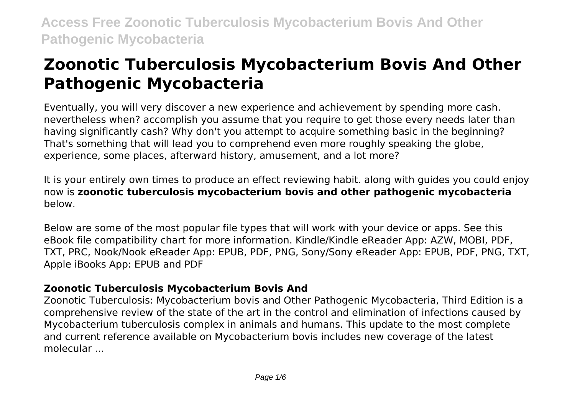# **Zoonotic Tuberculosis Mycobacterium Bovis And Other Pathogenic Mycobacteria**

Eventually, you will very discover a new experience and achievement by spending more cash. nevertheless when? accomplish you assume that you require to get those every needs later than having significantly cash? Why don't you attempt to acquire something basic in the beginning? That's something that will lead you to comprehend even more roughly speaking the globe, experience, some places, afterward history, amusement, and a lot more?

It is your entirely own times to produce an effect reviewing habit. along with guides you could enjoy now is **zoonotic tuberculosis mycobacterium bovis and other pathogenic mycobacteria** below.

Below are some of the most popular file types that will work with your device or apps. See this eBook file compatibility chart for more information. Kindle/Kindle eReader App: AZW, MOBI, PDF, TXT, PRC, Nook/Nook eReader App: EPUB, PDF, PNG, Sony/Sony eReader App: EPUB, PDF, PNG, TXT, Apple iBooks App: EPUB and PDF

# **Zoonotic Tuberculosis Mycobacterium Bovis And**

Zoonotic Tuberculosis: Mycobacterium bovis and Other Pathogenic Mycobacteria, Third Edition is a comprehensive review of the state of the art in the control and elimination of infections caused by Mycobacterium tuberculosis complex in animals and humans. This update to the most complete and current reference available on Mycobacterium bovis includes new coverage of the latest molecular ...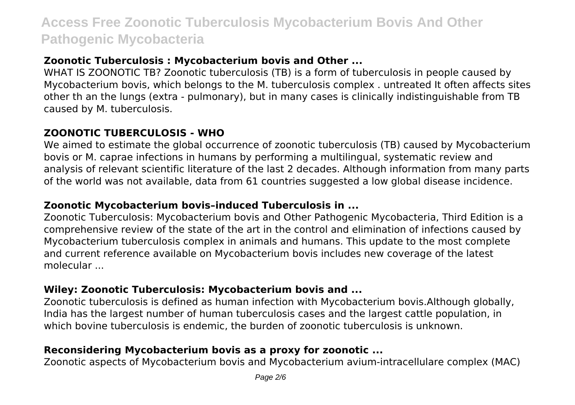# **Zoonotic Tuberculosis : Mycobacterium bovis and Other ...**

WHAT IS ZOONOTIC TB? Zoonotic tuberculosis (TB) is a form of tuberculosis in people caused by Mycobacterium bovis, which belongs to the M. tuberculosis complex . untreated It often affects sites other th an the lungs (extra - pulmonary), but in many cases is clinically indistinguishable from TB caused by M. tuberculosis.

### **ZOONOTIC TUBERCULOSIS - WHO**

We aimed to estimate the global occurrence of zoonotic tuberculosis (TB) caused by Mycobacterium bovis or M. caprae infections in humans by performing a multilingual, systematic review and analysis of relevant scientific literature of the last 2 decades. Although information from many parts of the world was not available, data from 61 countries suggested a low global disease incidence.

# **Zoonotic Mycobacterium bovis–induced Tuberculosis in ...**

Zoonotic Tuberculosis: Mycobacterium bovis and Other Pathogenic Mycobacteria, Third Edition is a comprehensive review of the state of the art in the control and elimination of infections caused by Mycobacterium tuberculosis complex in animals and humans. This update to the most complete and current reference available on Mycobacterium bovis includes new coverage of the latest molecular ...

# **Wiley: Zoonotic Tuberculosis: Mycobacterium bovis and ...**

Zoonotic tuberculosis is defined as human infection with Mycobacterium bovis.Although globally, India has the largest number of human tuberculosis cases and the largest cattle population, in which bovine tuberculosis is endemic, the burden of zoonotic tuberculosis is unknown.

# **Reconsidering Mycobacterium bovis as a proxy for zoonotic ...**

Zoonotic aspects of Mycobacterium bovis and Mycobacterium avium-intracellulare complex (MAC)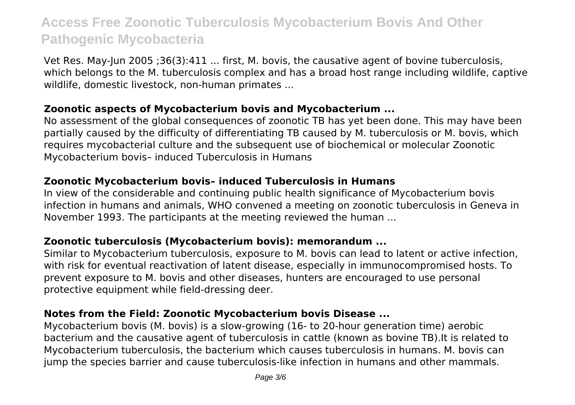Vet Res. May-Jun 2005 ;36(3):411 ... first, M. bovis, the causative agent of bovine tuberculosis, which belongs to the M. tuberculosis complex and has a broad host range including wildlife, captive wildlife, domestic livestock, non-human primates ...

#### **Zoonotic aspects of Mycobacterium bovis and Mycobacterium ...**

No assessment of the global consequences of zoonotic TB has yet been done. This may have been partially caused by the difficulty of differentiating TB caused by M. tuberculosis or M. bovis, which requires mycobacterial culture and the subsequent use of biochemical or molecular Zoonotic Mycobacterium bovis– induced Tuberculosis in Humans

#### **Zoonotic Mycobacterium bovis– induced Tuberculosis in Humans**

In view of the considerable and continuing public health significance of Mycobacterium bovis infection in humans and animals, WHO convened a meeting on zoonotic tuberculosis in Geneva in November 1993. The participants at the meeting reviewed the human ...

#### **Zoonotic tuberculosis (Mycobacterium bovis): memorandum ...**

Similar to Mycobacterium tuberculosis, exposure to M. bovis can lead to latent or active infection, with risk for eventual reactivation of latent disease, especially in immunocompromised hosts. To prevent exposure to M. bovis and other diseases, hunters are encouraged to use personal protective equipment while field-dressing deer.

### **Notes from the Field: Zoonotic Mycobacterium bovis Disease ...**

Mycobacterium bovis (M. bovis) is a slow-growing (16- to 20-hour generation time) aerobic bacterium and the causative agent of tuberculosis in cattle (known as bovine TB).It is related to Mycobacterium tuberculosis, the bacterium which causes tuberculosis in humans. M. bovis can jump the species barrier and cause tuberculosis-like infection in humans and other mammals.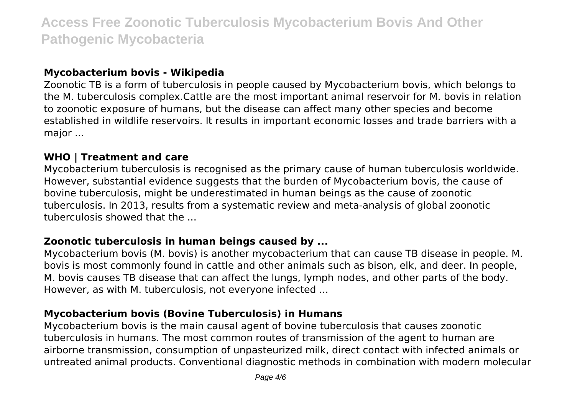#### **Mycobacterium bovis - Wikipedia**

Zoonotic TB is a form of tuberculosis in people caused by Mycobacterium bovis, which belongs to the M. tuberculosis complex.Cattle are the most important animal reservoir for M. bovis in relation to zoonotic exposure of humans, but the disease can affect many other species and become established in wildlife reservoirs. It results in important economic losses and trade barriers with a major ...

#### **WHO | Treatment and care**

Mycobacterium tuberculosis is recognised as the primary cause of human tuberculosis worldwide. However, substantial evidence suggests that the burden of Mycobacterium bovis, the cause of bovine tuberculosis, might be underestimated in human beings as the cause of zoonotic tuberculosis. In 2013, results from a systematic review and meta-analysis of global zoonotic tuberculosis showed that the ...

## **Zoonotic tuberculosis in human beings caused by ...**

Mycobacterium bovis (M. bovis) is another mycobacterium that can cause TB disease in people. M. bovis is most commonly found in cattle and other animals such as bison, elk, and deer. In people, M. bovis causes TB disease that can affect the lungs, lymph nodes, and other parts of the body. However, as with M. tuberculosis, not everyone infected ...

#### **Mycobacterium bovis (Bovine Tuberculosis) in Humans**

Mycobacterium bovis is the main causal agent of bovine tuberculosis that causes zoonotic tuberculosis in humans. The most common routes of transmission of the agent to human are airborne transmission, consumption of unpasteurized milk, direct contact with infected animals or untreated animal products. Conventional diagnostic methods in combination with modern molecular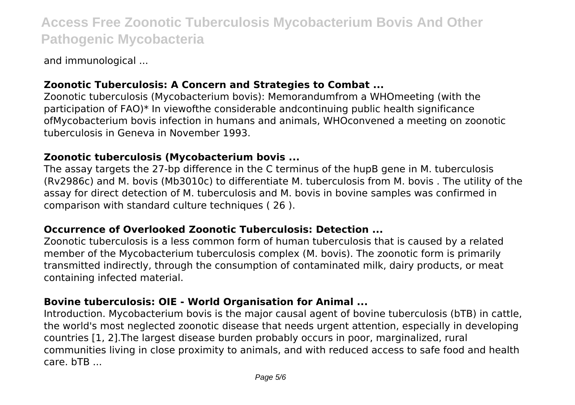and immunological ...

### **Zoonotic Tuberculosis: A Concern and Strategies to Combat ...**

Zoonotic tuberculosis (Mycobacterium bovis): Memorandumfrom a WHOmeeting (with the participation of FAO)\* In viewofthe considerable andcontinuing public health significance ofMycobacterium bovis infection in humans and animals, WHOconvened a meeting on zoonotic tuberculosis in Geneva in November 1993.

#### **Zoonotic tuberculosis (Mycobacterium bovis ...**

The assay targets the 27-bp difference in the C terminus of the hupB gene in M. tuberculosis (Rv2986c) and M. bovis (Mb3010c) to differentiate M. tuberculosis from M. bovis . The utility of the assay for direct detection of M. tuberculosis and M. bovis in bovine samples was confirmed in comparison with standard culture techniques ( 26 ).

#### **Occurrence of Overlooked Zoonotic Tuberculosis: Detection ...**

Zoonotic tuberculosis is a less common form of human tuberculosis that is caused by a related member of the Mycobacterium tuberculosis complex (M. bovis). The zoonotic form is primarily transmitted indirectly, through the consumption of contaminated milk, dairy products, or meat containing infected material.

### **Bovine tuberculosis: OIE - World Organisation for Animal ...**

Introduction. Mycobacterium bovis is the major causal agent of bovine tuberculosis (bTB) in cattle, the world's most neglected zoonotic disease that needs urgent attention, especially in developing countries [1, 2].The largest disease burden probably occurs in poor, marginalized, rural communities living in close proximity to animals, and with reduced access to safe food and health care. bTB ...